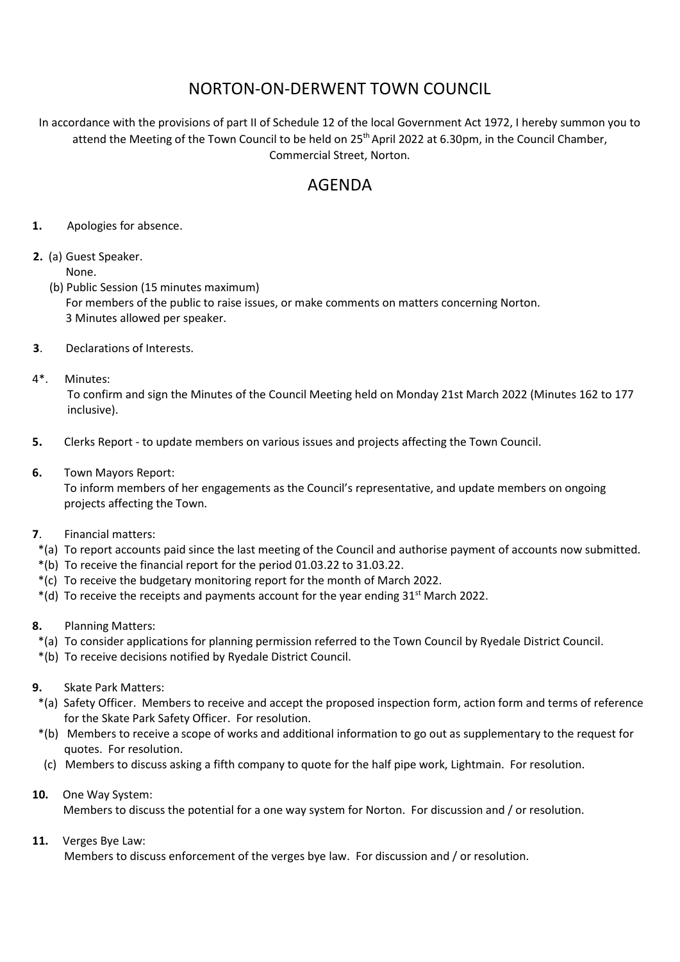## NORTON-ON-DERWENT TOWN COUNCIL

In accordance with the provisions of part II of Schedule 12 of the local Government Act 1972, I hereby summon you to attend the Meeting of the Town Council to be held on  $25<sup>th</sup>$  April 2022 at 6.30pm, in the Council Chamber, Commercial Street, Norton.

## AGENDA

- **1.** Apologies for absence.
- **2.** (a) Guest Speaker. None.
	- (b) Public Session (15 minutes maximum) For members of the public to raise issues, or make comments on matters concerning Norton. 3 Minutes allowed per speaker.
- **3**. Declarations of Interests.
- 4\*. Minutes:

To confirm and sign the Minutes of the Council Meeting held on Monday 21st March 2022 (Minutes 162 to 177 inclusive).

- **5.** Clerks Report to update members on various issues and projects affecting the Town Council.
- **6.** Town Mayors Report:

 To inform members of her engagements as the Council's representative, and update members on ongoing projects affecting the Town.

- **7**. Financial matters:
- \*(a) To report accounts paid since the last meeting of the Council and authorise payment of accounts now submitted.
- \*(b) To receive the financial report for the period 01.03.22 to 31.03.22.
- \*(c) To receive the budgetary monitoring report for the month of March 2022.
- $*(d)$  To receive the receipts and payments account for the year ending 31<sup>st</sup> March 2022.
- **8.** Planning Matters:
	- \*(a) To consider applications for planning permission referred to the Town Council by Ryedale District Council.
- \*(b) To receive decisions notified by Ryedale District Council.
- **9.** Skate Park Matters:
- \*(a)Safety Officer. Members to receive and accept the proposed inspection form, action form and terms of reference for the Skate Park Safety Officer. For resolution.
- \*(b) Members to receive a scope of works and additional information to go out as supplementary to the request for quotes. For resolution.
- (c) Members to discuss asking a fifth company to quote for the half pipe work, Lightmain. For resolution.
- **10.** One Way System:

Members to discuss the potential for a one way system for Norton. For discussion and / or resolution.

## **11.** Verges Bye Law:

Members to discuss enforcement of the verges bye law. For discussion and / or resolution.